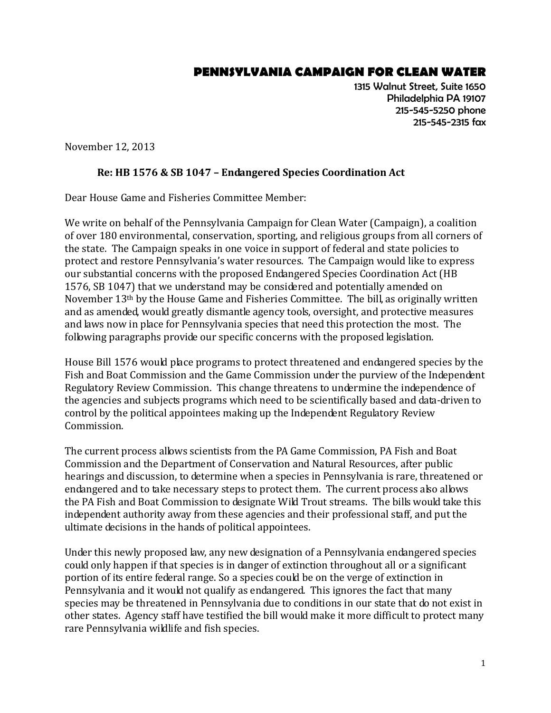## **PENNSYLVANIA CAMPAIGN FOR CLEAN WATER**

1315 Walnut Street, Suite 1650 Philadelphia PA 19107 215-545-5250 phone 215-545-2315 fax

November 12, 2013

## **Re: HB 1576 & SB 1047 – Endangered Species Coordination Act**

Dear House Game and Fisheries Committee Member:

We write on behalf of the Pennsylvania Campaign for Clean Water (Campaign), a coalition of over 180 environmental, conservation, sporting, and religious groups from all corners of the state. The Campaign speaks in one voice in support of federal and state policies to protect and restore Pennsylvania's water resources. The Campaign would like to express our substantial concerns with the proposed Endangered Species Coordination Act (HB 1576, SB 1047) that we understand may be considered and potentially amended on November 13th by the House Game and Fisheries Committee. The bill, as originally written and as amended, would greatly dismantle agency tools, oversight, and protective measures and laws now in place for Pennsylvania species that need this protection the most. The following paragraphs provide our specific concerns with the proposed legislation.

House Bill 1576 would place programs to protect threatened and endangered species by the Fish and Boat Commission and the Game Commission under the purview of the Independent Regulatory Review Commission. This change threatens to undermine the independence of the agencies and subjects programs which need to be scientifically based and data-driven to control by the political appointees making up the Independent Regulatory Review Commission.

The current process allows scientists from the PA Game Commission, PA Fish and Boat Commission and the Department of Conservation and Natural Resources, after public hearings and discussion, to determine when a species in Pennsylvania is rare, threatened or endangered and to take necessary steps to protect them. The current process also allows the PA Fish and Boat Commission to designate Wild Trout streams. The bills would take this independent authority away from these agencies and their professional staff, and put the ultimate decisions in the hands of political appointees.

Under this newly proposed law, any new designation of a Pennsylvania endangered species could only happen if that species is in danger of extinction throughout all or a significant portion of its entire federal range. So a species could be on the verge of extinction in Pennsylvania and it would not qualify as endangered. This ignores the fact that many species may be threatened in Pennsylvania due to conditions in our state that do not exist in other states. Agency staff have testified the bill would make it more difficult to protect many rare Pennsylvania wildlife and fish species.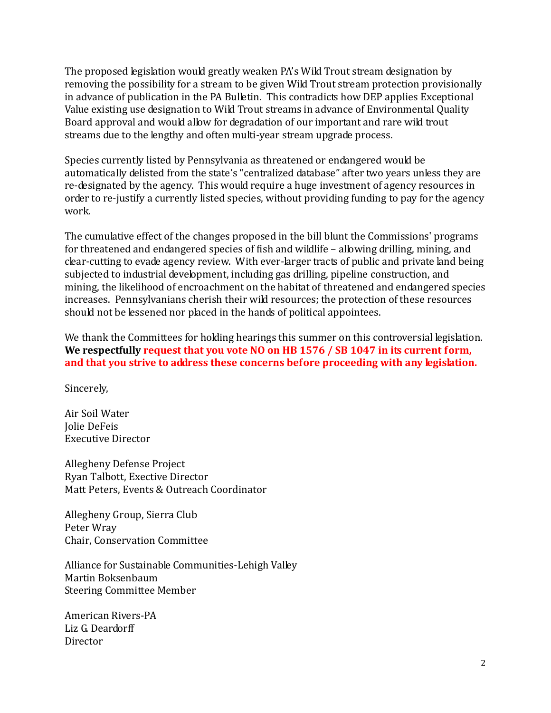The proposed legislation would greatly weaken PA's Wild Trout stream designation by removing the possibility for a stream to be given Wild Trout stream protection provisionally in advance of publication in the PA Bulletin. This contradicts how DEP applies Exceptional Value existing use designation to Wild Trout streams in advance of Environmental Quality Board approval and would allow for degradation of our important and rare wild trout streams due to the lengthy and often multi-year stream upgrade process.

Species currently listed by Pennsylvania as threatened or endangered would be automatically delisted from the state's "centralized database" after two years unless they are re-designated by the agency. This would require a huge investment of agency resources in order to re-justify a currently listed species, without providing funding to pay for the agency work.

The cumulative effect of the changes proposed in the bill blunt the Commissions' programs for threatened and endangered species of fish and wildlife – allowing drilling, mining, and clear-cutting to evade agency review. With ever-larger tracts of public and private land being subjected to industrial development, including gas drilling, pipeline construction, and mining, the likelihood of encroachment on the habitat of threatened and endangered species increases. Pennsylvanians cherish their wild resources; the protection of these resources should not be lessened nor placed in the hands of political appointees.

We thank the Committees for holding hearings this summer on this controversial legislation. **We respectfully request that you vote NO on HB 1576 / SB 1047 in its current form, and that you strive to address these concerns before proceeding with any legislation.**

Sincerely,

Air Soil Water Jolie DeFeis Executive Director

Allegheny Defense Project Ryan Talbott, Exective Director Matt Peters, Events & Outreach Coordinator

Allegheny Group, Sierra Club Peter Wray Chair, Conservation Committee

Alliance for Sustainable Communities-Lehigh Valley Martin Boksenbaum Steering Committee Member

American Rivers-PA Liz G. Deardorff **Director**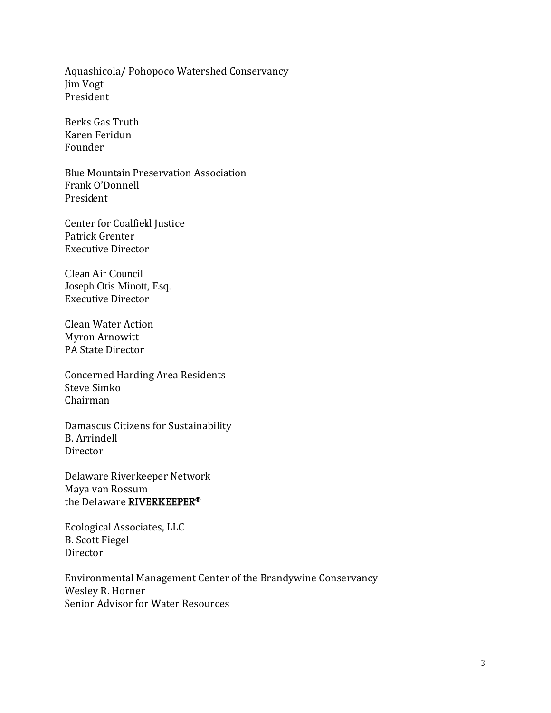Aquashicola/ Pohopoco Watershed Conservancy Jim Vogt President

Berks Gas Truth Karen Feridun Founder

Blue Mountain Preservation Association Frank O'Donnell President

Center for Coalfield Justice Patrick Grenter Executive Director

Clean Air Council Joseph Otis Minott, Esq. Executive Director

Clean Water Action Myron Arnowitt PA State Director

Concerned Harding Area Residents Steve Simko Chairman

Damascus Citizens for Sustainability B. Arrindell Director

Delaware Riverkeeper Network Maya van Rossum the Delaware RIVERKEEPER<sup>®</sup>

Ecological Associates, LLC B. Scott Fiegel Director

Environmental Management Center of the Brandywine Conservancy Wesley R. Horner Senior Advisor for Water Resources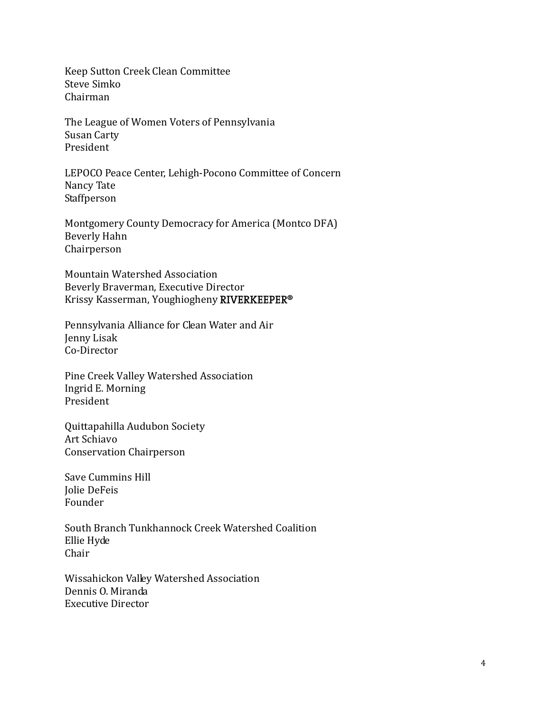Keep Sutton Creek Clean Committee Steve Simko Chairman

The League of Women Voters of Pennsylvania Susan Carty President

LEPOCO Peace Center, Lehigh-Pocono Committee of Concern Nancy Tate Staffperson

Montgomery County Democracy for America (Montco DFA) Beverly Hahn Chairperson

Mountain Watershed Association Beverly Braverman, Executive Director Krissy Kasserman, Youghiogheny RIVERKEEPER<sup>®</sup>

Pennsylvania Alliance for Clean Water and Air Jenny Lisak Co-Director

Pine Creek Valley Watershed Association Ingrid E. Morning President

Quittapahilla Audubon Society Art Schiavo Conservation Chairperson

Save Cummins Hill Jolie DeFeis Founder

South Branch Tunkhannock Creek Watershed Coalition Ellie Hyde Chair

Wissahickon Valley Watershed Association Dennis O. Miranda Executive Director